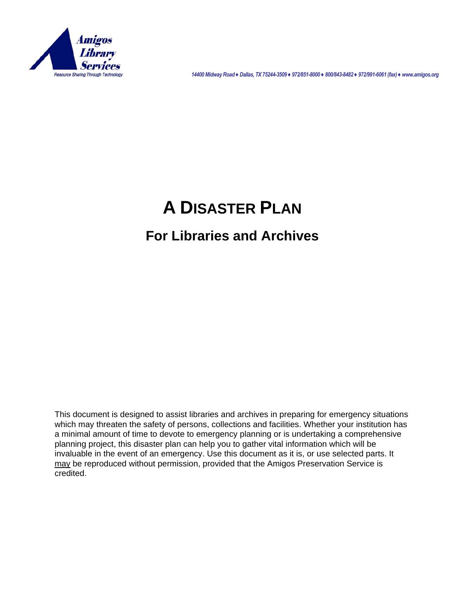

*14400 Midway Road ♦ Dallas, TX 75244-3509 ♦ 972/851-8000 ♦ 800/843-8482 ♦ 972/991-6061 (fax) ♦ www.amigos.org* 

# **A DISASTER PLAN**

## **For Libraries and Archives**

This document is designed to assist libraries and archives in preparing for emergency situations which may threaten the safety of persons, collections and facilities. Whether your institution has a minimal amount of time to devote to emergency planning or is undertaking a comprehensive planning project, this disaster plan can help you to gather vital information which will be invaluable in the event of an emergency. Use this document as it is, or use selected parts. It may be reproduced without permission, provided that the Amigos Preservation Service is credited.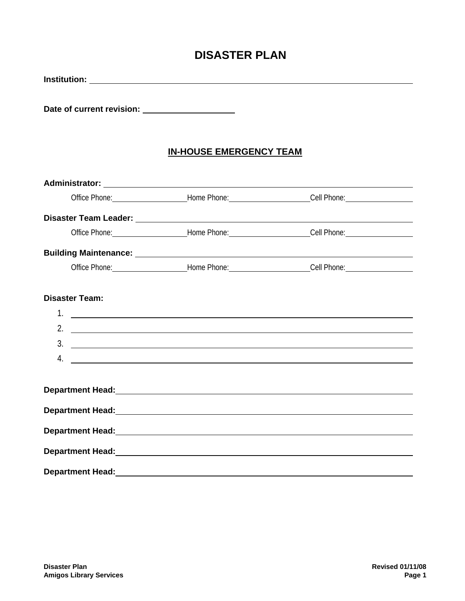## **DISASTER PLAN**

| Date of current revision: ______________________ |                                                                                                                                                                                                                                |  |
|--------------------------------------------------|--------------------------------------------------------------------------------------------------------------------------------------------------------------------------------------------------------------------------------|--|
|                                                  | <b>IN-HOUSE EMERGENCY TEAM</b>                                                                                                                                                                                                 |  |
|                                                  |                                                                                                                                                                                                                                |  |
|                                                  | Office Phone: _________________________Home Phone: _________________________Cell Phone: _____________________                                                                                                                  |  |
|                                                  | Disaster Team Leader: Note and the Contract of the Contract of the Contract of the Contract of the Contract of                                                                                                                 |  |
|                                                  | Office Phone: ________________________Home Phone: ________________________Cell Phone: _______________________                                                                                                                  |  |
|                                                  |                                                                                                                                                                                                                                |  |
|                                                  | Office Phone: ___________________________Home Phone: __________________________Cell Phone: ___________________                                                                                                                 |  |
| <b>Disaster Team:</b>                            |                                                                                                                                                                                                                                |  |
|                                                  |                                                                                                                                                                                                                                |  |
|                                                  | 2. $\overline{\phantom{a}}$                                                                                                                                                                                                    |  |
|                                                  | $\frac{1}{2}$                                                                                                                                                                                                                  |  |
|                                                  | $\overline{4}$ .                                                                                                                                                                                                               |  |
|                                                  | Department Head: New York Contract to the Contract of the Contract of the Contract of the Contract of the Contract of the Contract of the Contract of the Contract of the Contract of the Contract of the Contract of the Cont |  |
|                                                  | Department Head: National Communication of the Communication of the Communication of the Communication of the Communication of the Communication of the Communication of the Communication of the Communication of the Communi |  |
|                                                  | Department Head: New York Changes and Changes and Changes and Changes and Changes and Changes and Changes and Changes and Changes and Changes and Changes and Changes and Changes and Changes and Changes and Changes and Chan |  |
|                                                  |                                                                                                                                                                                                                                |  |
| <b>Department Head:</b>                          | <u> 1989 - Johann Barbara, martxa amerikan personal (h. 1989).</u>                                                                                                                                                             |  |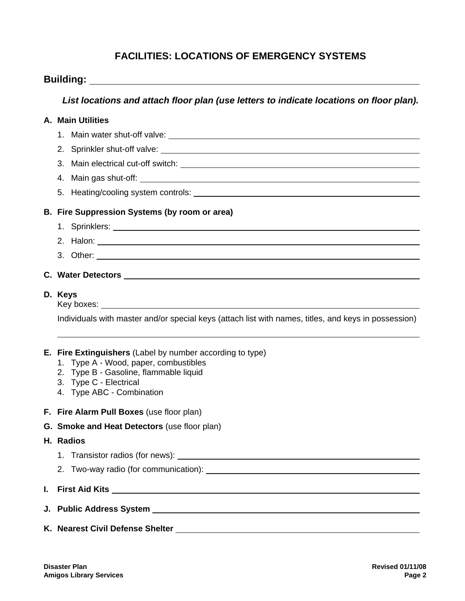#### **FACILITIES: LOCATIONS OF EMERGENCY SYSTEMS**

|    | <b>Building: Example 2018</b>                                                                                                                                                                                                  |  |  |  |  |  |
|----|--------------------------------------------------------------------------------------------------------------------------------------------------------------------------------------------------------------------------------|--|--|--|--|--|
|    | List locations and attach floor plan (use letters to indicate locations on floor plan).                                                                                                                                        |  |  |  |  |  |
|    | A. Main Utilities                                                                                                                                                                                                              |  |  |  |  |  |
|    |                                                                                                                                                                                                                                |  |  |  |  |  |
|    |                                                                                                                                                                                                                                |  |  |  |  |  |
|    |                                                                                                                                                                                                                                |  |  |  |  |  |
|    |                                                                                                                                                                                                                                |  |  |  |  |  |
|    |                                                                                                                                                                                                                                |  |  |  |  |  |
|    | B. Fire Suppression Systems (by room or area)                                                                                                                                                                                  |  |  |  |  |  |
|    | 1. Sprinklers: No. 2014 12: 2014 12: 2014 12: 2014 12: 2014 12: 2014 12: 2014 12: 2014 12: 2014 12: 2014 12: 20                                                                                                                |  |  |  |  |  |
|    | 2. Halon: 2. Halon: 2. Halon: 2. Halon: 2. Halon: 2. Halon: 2. Halon: 2. Halon: 2. Halon: 2. Halon: 2. Halon: 2. Halon: 2. Halon: 2. Halon: 2. Halon: 2. Halon: 2. Halon: 2. Halon: 2. Halon: 2. Halon: 2. Halon: 2. Halon: 2. |  |  |  |  |  |
|    |                                                                                                                                                                                                                                |  |  |  |  |  |
|    |                                                                                                                                                                                                                                |  |  |  |  |  |
|    | D. Keys<br>Individuals with master and/or special keys (attach list with names, titles, and keys in possession)                                                                                                                |  |  |  |  |  |
|    | <b>E.</b> Fire Extinguishers (Label by number according to type)<br>1. Type A - Wood, paper, combustibles<br>2. Type B - Gasoline, flammable liquid<br>3. Type C - Electrical<br>4. Type ABC - Combination                     |  |  |  |  |  |
|    | F. Fire Alarm Pull Boxes (use floor plan)                                                                                                                                                                                      |  |  |  |  |  |
|    | G. Smoke and Heat Detectors (use floor plan)                                                                                                                                                                                   |  |  |  |  |  |
|    | H. Radios                                                                                                                                                                                                                      |  |  |  |  |  |
|    |                                                                                                                                                                                                                                |  |  |  |  |  |
|    |                                                                                                                                                                                                                                |  |  |  |  |  |
| L. |                                                                                                                                                                                                                                |  |  |  |  |  |
|    |                                                                                                                                                                                                                                |  |  |  |  |  |
|    |                                                                                                                                                                                                                                |  |  |  |  |  |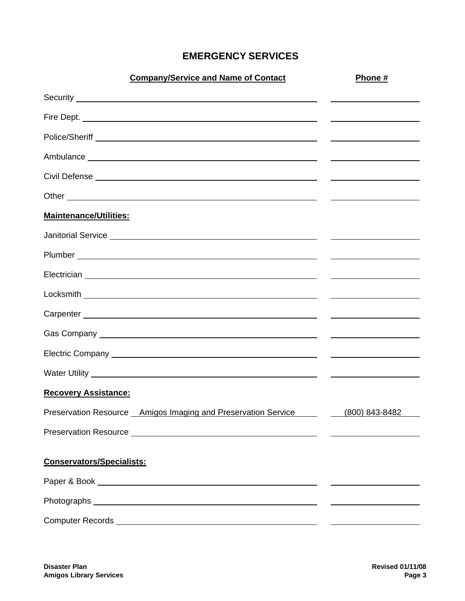### **EMERGENCY SERVICES**

| <b>Company/Service and Name of Contact</b>                                                                                                                                                                                          | Phone #                                                                                                                                                                                                                              |
|-------------------------------------------------------------------------------------------------------------------------------------------------------------------------------------------------------------------------------------|--------------------------------------------------------------------------------------------------------------------------------------------------------------------------------------------------------------------------------------|
|                                                                                                                                                                                                                                     |                                                                                                                                                                                                                                      |
|                                                                                                                                                                                                                                     |                                                                                                                                                                                                                                      |
|                                                                                                                                                                                                                                     | the contract of the contract of the contract of the contract of the contract of                                                                                                                                                      |
|                                                                                                                                                                                                                                     | <u> 1989 - Johann Barnett, fransk politiker (d. 1989)</u>                                                                                                                                                                            |
|                                                                                                                                                                                                                                     | <u> Alexandria de la contrada de la contrada de la contrada de la contrada de la contrada de la contrada de la c</u>                                                                                                                 |
|                                                                                                                                                                                                                                     | <u> 1989 - Johann Harry Harry Harry Harry Harry Harry Harry Harry Harry Harry Harry Harry Harry Harry Harry Harry Harry Harry Harry Harry Harry Harry Harry Harry Harry Harry Harry Harry Harry Harry Harry Harry Harry Harry Ha</u> |
| <b>Maintenance/Utilities:</b>                                                                                                                                                                                                       |                                                                                                                                                                                                                                      |
| Janitorial Service <u>example and the service</u> and the service of the service of the service of the service of the service of the service of the service of the service of the service of the service of the service of the serv |                                                                                                                                                                                                                                      |
|                                                                                                                                                                                                                                     | <u> Alexandria de la contrada de la contrada de la contrada de la contrada de la contrada de la contrada de la c</u>                                                                                                                 |
|                                                                                                                                                                                                                                     | and the control of the control of the control of the control of the control of the control of                                                                                                                                        |
|                                                                                                                                                                                                                                     |                                                                                                                                                                                                                                      |
|                                                                                                                                                                                                                                     | the contract of the contract of the contract of the contract of the contract of                                                                                                                                                      |
|                                                                                                                                                                                                                                     |                                                                                                                                                                                                                                      |
|                                                                                                                                                                                                                                     |                                                                                                                                                                                                                                      |
|                                                                                                                                                                                                                                     |                                                                                                                                                                                                                                      |
| <b>Recovery Assistance:</b>                                                                                                                                                                                                         |                                                                                                                                                                                                                                      |
| Preservation Resource Amigos Imaging and Preservation Service (800) 843-8482                                                                                                                                                        |                                                                                                                                                                                                                                      |
|                                                                                                                                                                                                                                     |                                                                                                                                                                                                                                      |
| <b>Conservators/Specialists:</b>                                                                                                                                                                                                    |                                                                                                                                                                                                                                      |
|                                                                                                                                                                                                                                     |                                                                                                                                                                                                                                      |
|                                                                                                                                                                                                                                     |                                                                                                                                                                                                                                      |
|                                                                                                                                                                                                                                     |                                                                                                                                                                                                                                      |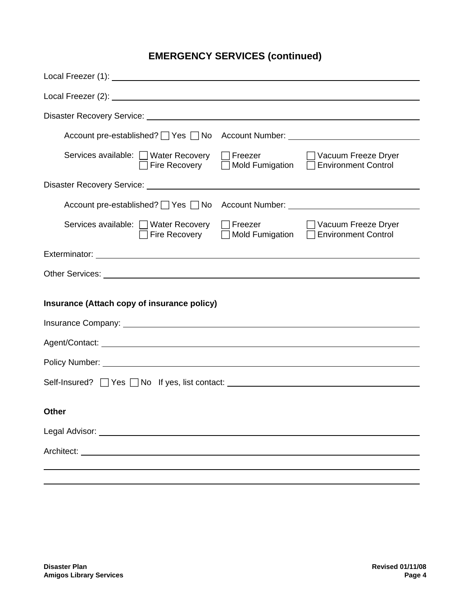## **EMERGENCY SERVICES (continued)**

| Account pre-established? $\Box$ Yes $\Box$ No                                                                                                                                                                                        |  |  |  |  |
|--------------------------------------------------------------------------------------------------------------------------------------------------------------------------------------------------------------------------------------|--|--|--|--|
| $\Box$ Freezer<br>Services available: □ Water Recovery<br>□ Vacuum Freeze Dryer<br>□ Mold Fumigation □ Environment Control<br>$\Box$ Fire Recovery                                                                                   |  |  |  |  |
|                                                                                                                                                                                                                                      |  |  |  |  |
| Account pre-established? $\Box$ Yes $\Box$ No                                                                                                                                                                                        |  |  |  |  |
| Services available: □ Water Recovery<br>$\Box$ Freezer<br>□ Vacuum Freeze Dryer<br>$\exists$ Mold Fumigation $\Box$<br><b>Environment Control</b><br>Fire Recovery                                                                   |  |  |  |  |
|                                                                                                                                                                                                                                      |  |  |  |  |
| Other Services: <u>New York: New York: New York: New York: New York: New York: New York: New York: New York: New York: New York: New York: New York: New York: New York: New York: New York: New York: New York: New York: New Y</u> |  |  |  |  |
| Insurance (Attach copy of insurance policy)                                                                                                                                                                                          |  |  |  |  |
|                                                                                                                                                                                                                                      |  |  |  |  |
|                                                                                                                                                                                                                                      |  |  |  |  |
| Policy Number: National According to the Contract of the Contract of the Contract of the Contract of the Contract of the Contract of the Contract of the Contract of the Contract of the Contract of the Contract of the Contr       |  |  |  |  |
| Self-Insured? $\Box$ Yes $\Box$ No If yes, list contact: $\Box$                                                                                                                                                                      |  |  |  |  |
| Other                                                                                                                                                                                                                                |  |  |  |  |
| Legal Advisor: New York Change and Separate Advisor (New York Change and Separate Advisor Advisor Advisor Advisor Advisor Advisor Advisor Advisor Advisor Advisor Advisor Advisor Advisor Advisor Advisor Advisor Advisor Advi       |  |  |  |  |
|                                                                                                                                                                                                                                      |  |  |  |  |
|                                                                                                                                                                                                                                      |  |  |  |  |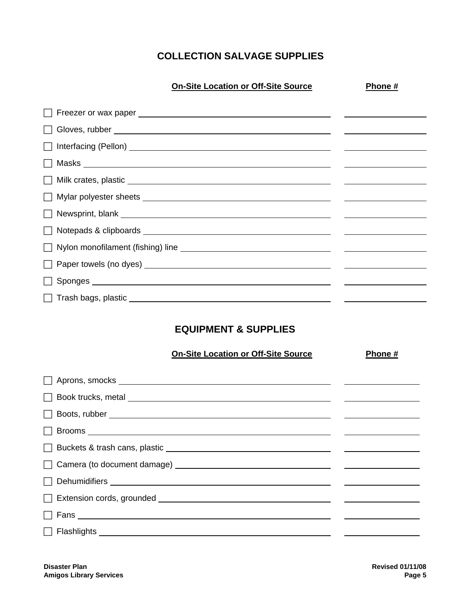#### **COLLECTION SALVAGE SUPPLIES**

| <b>On-Site Location or Off-Site Source</b>                                                                                                                                                                                           | Phone # |
|--------------------------------------------------------------------------------------------------------------------------------------------------------------------------------------------------------------------------------------|---------|
|                                                                                                                                                                                                                                      |         |
|                                                                                                                                                                                                                                      |         |
|                                                                                                                                                                                                                                      |         |
|                                                                                                                                                                                                                                      |         |
|                                                                                                                                                                                                                                      |         |
|                                                                                                                                                                                                                                      |         |
|                                                                                                                                                                                                                                      |         |
|                                                                                                                                                                                                                                      |         |
| Nylon monofilament (fishing) line <b>with the control of the control of the control of the control of the control of the control of the control of the control of the control of the control of the control of the control of th</b> |         |
|                                                                                                                                                                                                                                      |         |
|                                                                                                                                                                                                                                      |         |
| □ Trash bags, plastic <u>New York New York New York New York New York New York New York New York New York New York New York New York New York New York New York New York New York New York New York New York New York New York </u>  |         |
|                                                                                                                                                                                                                                      |         |

#### **EQUIPMENT & SUPPLIES**

#### **On-Site Location or Off-Site Source**  Phone #

|  |  | 11011G |  |
|--|--|--------|--|
|  |  |        |  |
|  |  |        |  |
|  |  |        |  |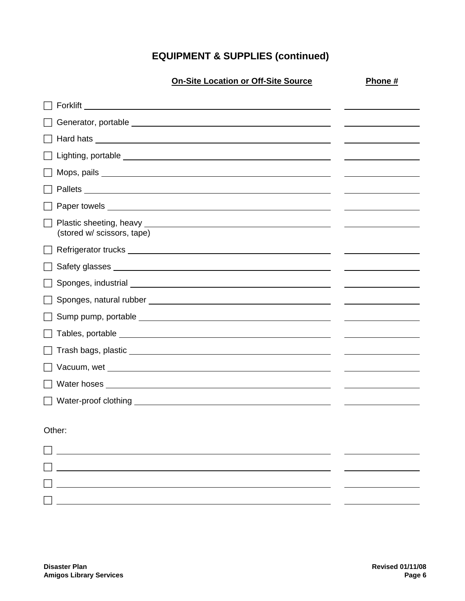## **EQUIPMENT & SUPPLIES (continued)**

|                            | <b>On-Site Location or Off-Site Source</b> | Phone # |
|----------------------------|--------------------------------------------|---------|
|                            |                                            |         |
|                            |                                            |         |
|                            |                                            |         |
|                            |                                            |         |
|                            |                                            |         |
|                            |                                            |         |
|                            |                                            |         |
| (stored w/ scissors, tape) |                                            |         |
|                            |                                            |         |
|                            |                                            |         |
|                            |                                            |         |
|                            |                                            |         |
|                            |                                            |         |
|                            |                                            |         |
|                            |                                            |         |
|                            |                                            |         |
|                            |                                            |         |
|                            |                                            |         |
| Other:                     |                                            |         |
|                            |                                            |         |
|                            |                                            |         |
|                            |                                            |         |
|                            |                                            |         |